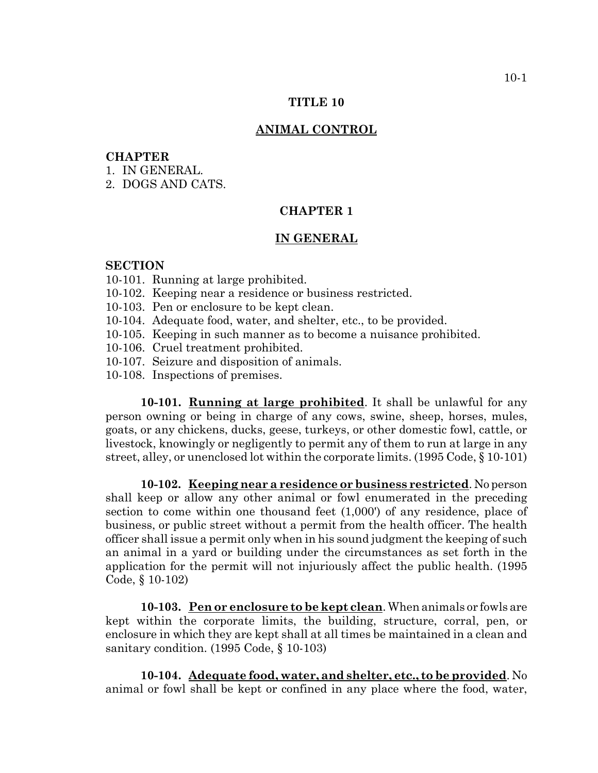#### **TITLE 10**

#### **ANIMAL CONTROL**

### **CHAPTER**

- 1. IN GENERAL.
- 2. DOGS AND CATS.

## **CHAPTER 1**

#### **IN GENERAL**

#### **SECTION**

- 10-101. Running at large prohibited.
- 10-102. Keeping near a residence or business restricted.
- 10-103. Pen or enclosure to be kept clean.
- 10-104. Adequate food, water, and shelter, etc., to be provided.
- 10-105. Keeping in such manner as to become a nuisance prohibited.
- 10-106. Cruel treatment prohibited.
- 10-107. Seizure and disposition of animals.
- 10-108. Inspections of premises.

**10-101. Running at large prohibited**. It shall be unlawful for any person owning or being in charge of any cows, swine, sheep, horses, mules, goats, or any chickens, ducks, geese, turkeys, or other domestic fowl, cattle, or livestock, knowingly or negligently to permit any of them to run at large in any street, alley, or unenclosed lot within the corporate limits. (1995 Code, § 10-101)

**10-102. Keeping near a residence or business restricted**. No person shall keep or allow any other animal or fowl enumerated in the preceding section to come within one thousand feet (1,000') of any residence, place of business, or public street without a permit from the health officer. The health officer shall issue a permit only when in his sound judgment the keeping of such an animal in a yard or building under the circumstances as set forth in the application for the permit will not injuriously affect the public health. (1995 Code, § 10-102)

**10-103. Pen or enclosure to be kept clean**. When animals or fowls are kept within the corporate limits, the building, structure, corral, pen, or enclosure in which they are kept shall at all times be maintained in a clean and sanitary condition. (1995 Code, § 10-103)

**10-104. Adequate food, water, and shelter, etc., to be provided**. No animal or fowl shall be kept or confined in any place where the food, water,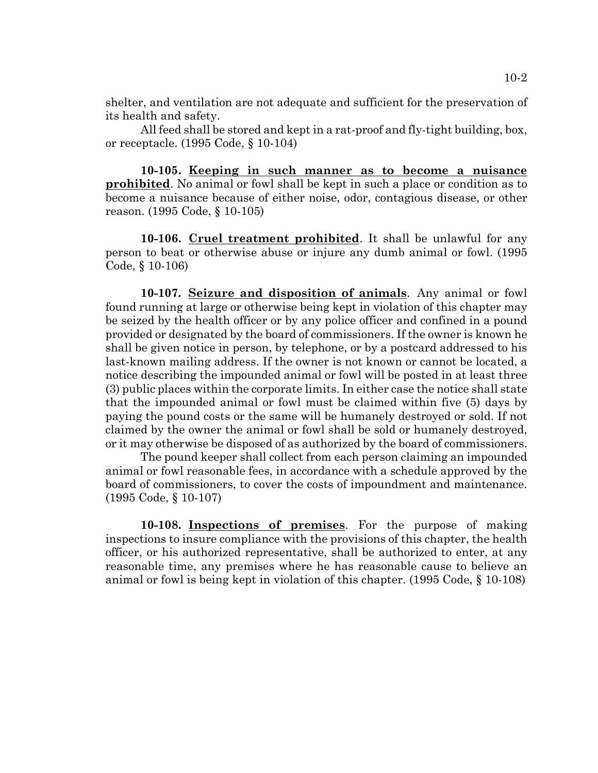shelter, and ventilation are not adequate and sufficient for the preservation of its health and safety.

All feed shall be stored and kept in a rat-proof and fly-tight building, box, or receptacle. (1995 Code, § 10-104)

**10-105. Keeping in such manner as to become a nuisance prohibited**. No animal or fowl shall be kept in such a place or condition as to become a nuisance because of either noise, odor, contagious disease, or other reason. (1995 Code, § 10-105)

**10-106. Cruel treatment prohibited**. It shall be unlawful for any person to beat or otherwise abuse or injure any dumb animal or fowl. (1995 Code, § 10-106)

**10-107. Seizure and disposition of animals**. Any animal or fowl found running at large or otherwise being kept in violation of this chapter may be seized by the health officer or by any police officer and confined in a pound provided or designated by the board of commissioners. If the owner is known he shall be given notice in person, by telephone, or by a postcard addressed to his last-known mailing address. If the owner is not known or cannot be located, a notice describing the impounded animal or fowl will be posted in at least three (3) public places within the corporate limits. In either case the notice shall state that the impounded animal or fowl must be claimed within five (5) days by paying the pound costs or the same will be humanely destroyed or sold. If not claimed by the owner the animal or fowl shall be sold or humanely destroyed, or it may otherwise be disposed of as authorized by the board of commissioners.

The pound keeper shall collect from each person claiming an impounded animal or fowl reasonable fees, in accordance with a schedule approved by the board of commissioners, to cover the costs of impoundment and maintenance. (1995 Code, § 10-107)

**10-108. Inspections of premises**. For the purpose of making inspections to insure compliance with the provisions of this chapter, the health officer, or his authorized representative, shall be authorized to enter, at any reasonable time, any premises where he has reasonable cause to believe an animal or fowl is being kept in violation of this chapter. (1995 Code, § 10-108)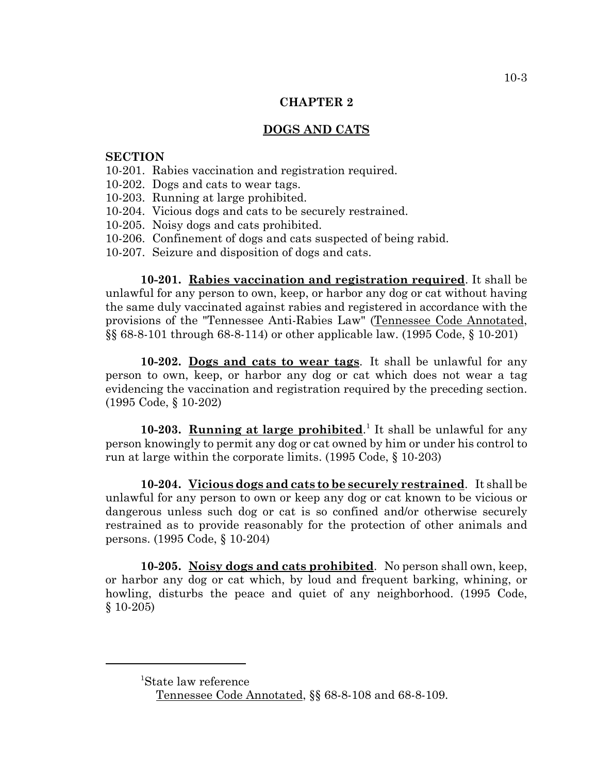## **CHAPTER 2**

# **DOGS AND CATS**

## **SECTION**

- 10-201. Rabies vaccination and registration required.
- 10-202. Dogs and cats to wear tags.
- 10-203. Running at large prohibited.
- 10-204. Vicious dogs and cats to be securely restrained.
- 10-205. Noisy dogs and cats prohibited.
- 10-206. Confinement of dogs and cats suspected of being rabid.
- 10-207. Seizure and disposition of dogs and cats.

**10-201. Rabies vaccination and registration required**. It shall be unlawful for any person to own, keep, or harbor any dog or cat without having the same duly vaccinated against rabies and registered in accordance with the provisions of the "Tennessee Anti-Rabies Law" (Tennessee Code Annotated, §§ 68-8-101 through 68-8-114) or other applicable law. (1995 Code, § 10-201)

**10-202. Dogs and cats to wear tags**. It shall be unlawful for any person to own, keep, or harbor any dog or cat which does not wear a tag evidencing the vaccination and registration required by the preceding section. (1995 Code, § 10-202)

**10-203. Running at large prohibited.** It shall be unlawful for any person knowingly to permit any dog or cat owned by him or under his control to run at large within the corporate limits. (1995 Code, § 10-203)

**10-204. Vicious dogs and cats to be securely restrained**. It shall be unlawful for any person to own or keep any dog or cat known to be vicious or dangerous unless such dog or cat is so confined and/or otherwise securely restrained as to provide reasonably for the protection of other animals and persons. (1995 Code, § 10-204)

**10-205. Noisy dogs and cats prohibited**. No person shall own, keep, or harbor any dog or cat which, by loud and frequent barking, whining, or howling, disturbs the peace and quiet of any neighborhood. (1995 Code, § 10-205)

<sup>1</sup> State law reference

Tennessee Code Annotated, §§ 68-8-108 and 68-8-109.